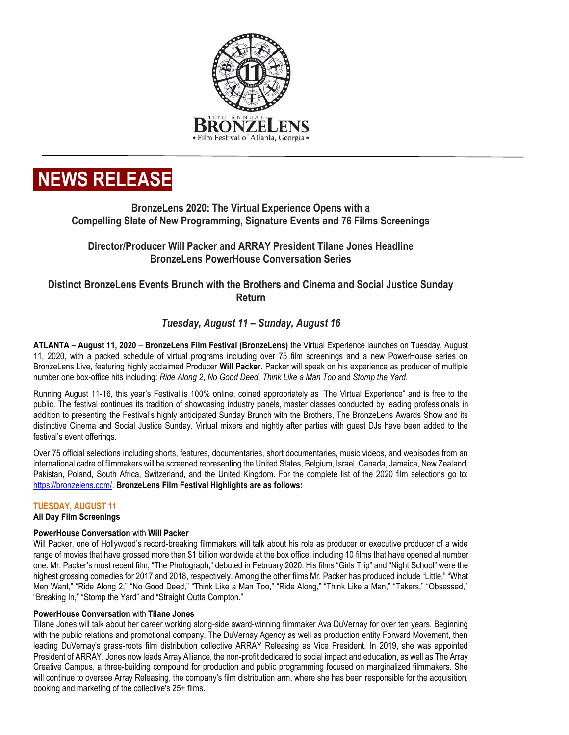

# **NEWS RELEASE**

# **BronzeLens 2020: The Virtual Experience Opens with a Compelling Slate of New Programming, Signature Events and 76 Films Screenings**

# **Director/Producer Will Packer and ARRAY President Tilane Jones Headline BronzeLens PowerHouse Conversation Series**

# **Distinct BronzeLens Events Brunch with the Brothers and Cinema and Social Justice Sunday Return**

# *Tuesday, August 11 – Sunday, August 16*

**ATLANTA – August 11, 2020** – **BronzeLens Film Festival (BronzeLens)** the Virtual Experience launches on Tuesday, August 11, 2020, with a packed schedule of virtual programs including over 75 film screenings and a new PowerHouse series on BronzeLens Live, featuring highly acclaimed Producer **Will Packer**. Packer will speak on his experience as producer of multiple number one box-office hits including: *Ride Along 2*, *No Good Deed*, *Think Like a Man Too* and *Stomp the Yard*.

Running August 11-16, this year's Festival is 100% online, coined appropriately as "The Virtual Experience" and is free to the public. The festival continues its tradition of showcasing industry panels, master classes conducted by leading professionals in addition to presenting the Festival's highly anticipated Sunday Brunch with the Brothers, The BronzeLens Awards Show and its distinctive Cinema and Social Justice Sunday. Virtual mixers and nightly after parties with guest DJs have been added to the festival's event offerings.

Over 75 official selections including shorts, features, documentaries, short documentaries, music videos, and webisodes from an international cadre of filmmakers will be screened representing the United States, Belgium, Israel, Canada, Jamaica, New Zealand, Pakistan, Poland, South Africa, Switzerland, and the United Kingdom. For the complete list of the 2020 film selections go to: [https://bronzelens.com/.](https://bronzelens.com/) **BronzeLens Film Festival Highlights are as follows:**

# **TUESDAY, AUGUST 11**

# **All Day Film Screenings**

# **PowerHouse Conversation** with **Will Packer**

Will Packer, one of Hollywood's record-breaking filmmakers will talk about his role as producer or executive producer of a wide range of movies that have grossed more than \$1 billion worldwide at the box office, including 10 films that have opened at number one. Mr. Packer's most recent film, "The Photograph," debuted in February 2020. His films "Girls Trip" and "Night School" were the highest grossing comedies for 2017 and 2018, respectively. Among the other films Mr. Packer has produced include "Little," "What Men Want," "Ride Along 2," "No Good Deed," "Think Like a Man Too," "Ride Along," "Think Like a Man," "Takers," "Obsessed," "Breaking In," "Stomp the Yard" and "Straight Outta Compton."

# **PowerHouse Conversation** with **Tilane Jones**

Tilane Jones will talk about her career working along-side award-winning filmmaker Ava DuVernay for over ten years. Beginning with the public relations and promotional company, The DuVernay Agency as well as production entity Forward Movement, then leading DuVernay's grass-roots film distribution collective ARRAY Releasing as Vice President. In 2019, she was appointed President of ARRAY. Jones now leads Array Alliance, the non-profit dedicated to social impact and education, as well as The Array Creative Campus, a three-building compound for production and public programming focused on marginalized filmmakers. She will continue to oversee Array Releasing, the company's film distribution arm, where she has been responsible for the acquisition, booking and marketing of the collective's 25+ films.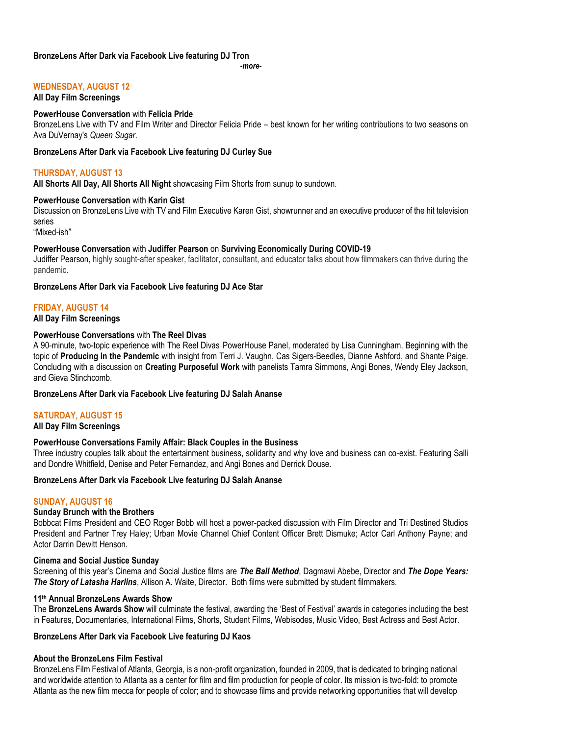## **BronzeLens After Dark via Facebook Live featuring DJ Tron**

*-more-*

# **WEDNESDAY, AUGUST 12**

**All Day Film Screenings**

#### **PowerHouse Conversation** with **Felicia Pride**

BronzeLens Live with TV and Film Writer and Director Felicia Pride – best known for her writing contributions to two seasons on Ava DuVernay's *Queen Sugar*.

#### **BronzeLens After Dark via Facebook Live featuring DJ Curley Sue**

## **THURSDAY, AUGUST 13**

**All Shorts All Day, All Shorts All Night** showcasing Film Shorts from sunup to sundown.

#### **PowerHouse Conversation** with **Karin Gist**

Discussion on BronzeLens Live with TV and Film Executive Karen Gist, showrunner and an executive producer of the hit television series

"Mixed-ish"

#### **PowerHouse Conversation** with **Judiffer Pearson** on **Surviving Economically During COVID-19**

Judiffer Pearson, highly sought-after speaker, facilitator, consultant, and educator talks about how filmmakers can thrive during the pandemic.

#### **BronzeLens After Dark via Facebook Live featuring DJ Ace Star**

## **FRIDAY, AUGUST 14**

#### **All Day Film Screenings**

#### **PowerHouse Conversations** with **The Reel Divas**

A 90-minute, two-topic experience with The Reel Divas PowerHouse Panel, moderated by Lisa Cunningham. Beginning with the topic of **Producing in the Pandemic** with insight from Terri J. Vaughn, Cas Sigers-Beedles, Dianne Ashford, and Shante Paige. Concluding with a discussion on **Creating Purposeful Work** with panelists Tamra Simmons, Angi Bones, Wendy Eley Jackson, and Gieva Stinchcomb.

#### **BronzeLens After Dark via Facebook Live featuring DJ Salah Ananse**

#### **SATURDAY, AUGUST 15**

#### **All Day Film Screenings**

#### **PowerHouse Conversations Family Affair: Black Couples in the Business**

Three industry couples talk about the entertainment business, solidarity and why love and business can co-exist. Featuring Salli and Dondre Whitfield, Denise and Peter Fernandez, and Angi Bones and Derrick Douse.

#### **BronzeLens After Dark via Facebook Live featuring DJ Salah Ananse**

#### **SUNDAY, AUGUST 16**

#### **Sunday Brunch with the Brothers**

Bobbcat Films President and CEO Roger Bobb will host a power-packed discussion with Film Director and Tri Destined Studios President and Partner Trey Haley; Urban Movie Channel Chief Content Officer Brett Dismuke; Actor Carl Anthony Payne; and Actor Darrin Dewitt Henson.

#### **Cinema and Social Justice Sunday**

Screening of this year's Cinema and Social Justice films are *The Ball Method*, Dagmawi Abebe, Director and *The Dope Years: The Story of Latasha Harlins*, Allison A. Waite, Director. Both films were submitted by student filmmakers.

#### **11th Annual BronzeLens Awards Show**

The **BronzeLens Awards Show** will culminate the festival, awarding the 'Best of Festival' awards in categories including the best in Features, Documentaries, International Films, Shorts, Student Films, Webisodes, Music Video, Best Actress and Best Actor.

#### **BronzeLens After Dark via Facebook Live featuring DJ Kaos**

#### **About the BronzeLens Film Festival**

BronzeLens Film Festival of Atlanta, Georgia, is a non-profit organization, founded in 2009, that is dedicated to bringing national and worldwide attention to Atlanta as a center for film and film production for people of color. Its mission is two-fold: to promote Atlanta as the new film mecca for people of color; and to showcase films and provide networking opportunities that will develop